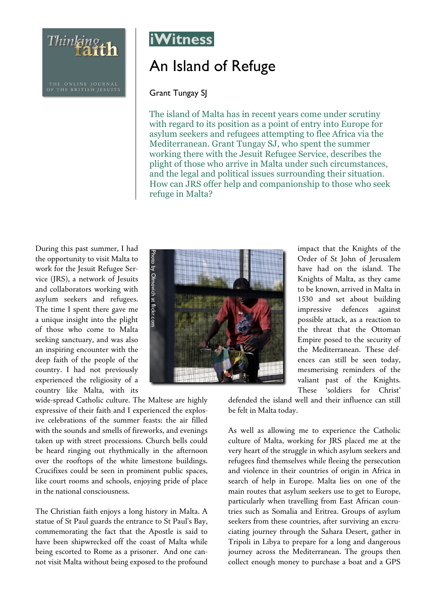Thinking th



## An Island of Refuge

Grant Tungay SJ

The island of Malta has in recent years come under scrutiny with regard to its position as a point of entry into Europe for asylum seekers and refugees attempting to flee Africa via the Mediterranean. Grant Tungay SJ, who spent the summer working there with the Jesuit Refugee Service, describes the plight of those who arrive in Malta under such circumstances, and the legal and political issues surrounding their situation. How can JRS offer help and companionship to those who seek refuge in Malta?

During this past summer, I had the opportunity to visit Malta to work for the Jesuit Refugee Service (JRS), a network of Jesuits and collaborators working with asylum seekers and refugees. The time I spent there gave me a unique insight into the plight of those who come to Malta seeking sanctuary, and was also an inspiring encounter with the deep faith of the people of the country. I had not previously experienced the religiosity of a country like Malta, with its

wide-spread Catholic culture. The Maltese are highly expressive of their faith and I experienced the explosive celebrations of the summer feasts: the air filled with the sounds and smells of fireworks, and evenings taken up with street processions. Church bells could be heard ringing out rhythmically in the afternoon over the rooftops of the white limestone buildings. Crucifixes could be seen in prominent public spaces, like court rooms and schools, enjoying pride of place in the national consciousness.

The Christian faith enjoys a long history in Malta. A statue of St Paul guards the entrance to St Paul's Bay, commemorating the fact that the Apostle is said to have been shipwrecked off the coast of Malta while being escorted to Rome as a prisoner. And one cannot visit Malta without being exposed to the profound



impact that the Knights of the Order of St John of Jerusalem have had on the island. The Knights of Malta, as they came to be known, arrived in Malta in 1530 and set about building impressive defences against possible attack, as a reaction to the threat that the Ottoman Empire posed to the security of the Mediterranean. These defences can still be seen today, mesmerising reminders of the valiant past of the Knights. These 'soldiers for Christ'

defended the island well and their influence can still be felt in Malta today.

As well as allowing me to experience the Catholic culture of Malta, working for JRS placed me at the very heart of the struggle in which asylum seekers and refugees find themselves while fleeing the persecution and violence in their countries of origin in Africa in search of help in Europe. Malta lies on one of the main routes that asylum seekers use to get to Europe, particularly when travelling from East African countries such as Somalia and Eritrea. Groups of asylum seekers from these countries, after surviving an excruciating journey through the Sahara Desert, gather in Tripoli in Libya to prepare for a long and dangerous journey across the Mediterranean. The groups then collect enough money to purchase a boat and a GPS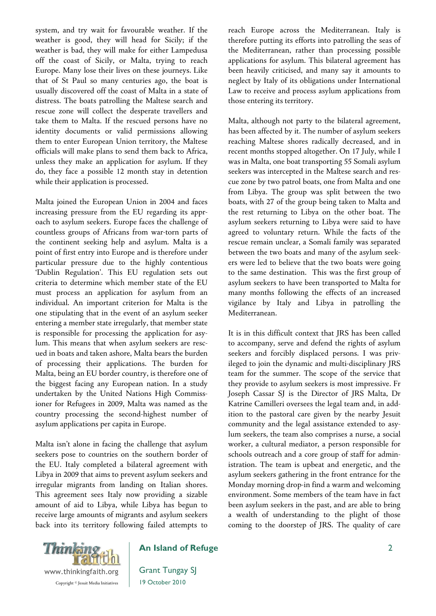system, and try wait for favourable weather. If the weather is good, they will head for Sicily; if the weather is bad, they will make for either Lampedusa off the coast of Sicily, or Malta, trying to reach Europe. Many lose their lives on these journeys. Like that of St Paul so many centuries ago, the boat is usually discovered off the coast of Malta in a state of distress. The boats patrolling the Maltese search and rescue zone will collect the desperate travellers and take them to Malta. If the rescued persons have no identity documents or valid permissions allowing them to enter European Union territory, the Maltese officials will make plans to send them back to Africa, unless they make an application for asylum. If they do, they face a possible 12 month stay in detention while their application is processed.

Malta joined the European Union in 2004 and faces increasing pressure from the EU regarding its approach to asylum seekers. Europe faces the challenge of countless groups of Africans from war-torn parts of the continent seeking help and asylum. Malta is a point of first entry into Europe and is therefore under particular pressure due to the highly contentious 'Dublin Regulation'. This EU regulation sets out criteria to determine which member state of the EU must process an application for asylum from an individual. An important criterion for Malta is the one stipulating that in the event of an asylum seeker entering a member state irregularly, that member state is responsible for processing the application for asylum. This means that when asylum seekers are rescued in boats and taken ashore, Malta bears the burden of processing their applications. The burden for Malta, being an EU border country, is therefore one of the biggest facing any European nation. In a study undertaken by the United Nations High Commissioner for Refugees in 2009, Malta was named as the country processing the second-highest number of asylum applications per capita in Europe.

Malta isn't alone in facing the challenge that asylum seekers pose to countries on the southern border of the EU. Italy completed a bilateral agreement with Libya in 2009 that aims to prevent asylum seekers and irregular migrants from landing on Italian shores. This agreement sees Italy now providing a sizable amount of aid to Libya, while Libya has begun to receive large amounts of migrants and asylum seekers back into its territory following failed attempts to reach Europe across the Mediterranean. Italy is therefore putting its efforts into patrolling the seas of the Mediterranean, rather than processing possible applications for asylum. This bilateral agreement has been heavily criticised, and many say it amounts to neglect by Italy of its obligations under International Law to receive and process asylum applications from those entering its territory.

Malta, although not party to the bilateral agreement, has been affected by it. The number of asylum seekers reaching Maltese shores radically decreased, and in recent months stopped altogether. On 17 July, while I was in Malta, one boat transporting 55 Somali asylum seekers was intercepted in the Maltese search and rescue zone by two patrol boats, one from Malta and one from Libya. The group was split between the two boats, with 27 of the group being taken to Malta and the rest returning to Libya on the other boat. The asylum seekers returning to Libya were said to have agreed to voluntary return. While the facts of the rescue remain unclear, a Somali family was separated between the two boats and many of the asylum seekers were led to believe that the two boats were going to the same destination. This was the first group of asylum seekers to have been transported to Malta for many months following the effects of an increased vigilance by Italy and Libya in patrolling the Mediterranean.

It is in this difficult context that JRS has been called to accompany, serve and defend the rights of asylum seekers and forcibly displaced persons. I was privileged to join the dynamic and multi-disciplinary JRS team for the summer. The scope of the service that they provide to asylum seekers is most impressive. Fr Joseph Cassar SJ is the Director of JRS Malta, Dr Katrine Camilleri oversees the legal team and, in addition to the pastoral care given by the nearby Jesuit community and the legal assistance extended to asylum seekers, the team also comprises a nurse, a social worker, a cultural mediator, a person responsible for schools outreach and a core group of staff for administration. The team is upbeat and energetic, and the asylum seekers gathering in the front entrance for the Monday morning drop-in find a warm and welcoming environment. Some members of the team have in fact been asylum seekers in the past, and are able to bring a wealth of understanding to the plight of those coming to the doorstep of JRS. The quality of care



## **An Island of Refuge**

Grant Tungay SJ 19 October 2010